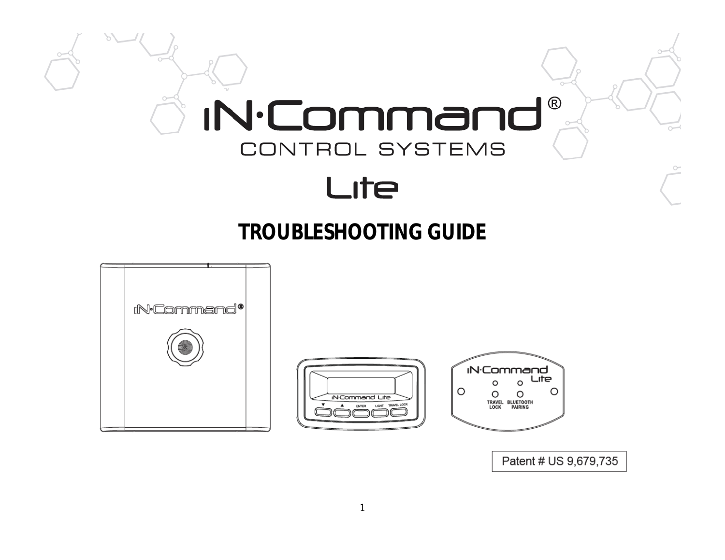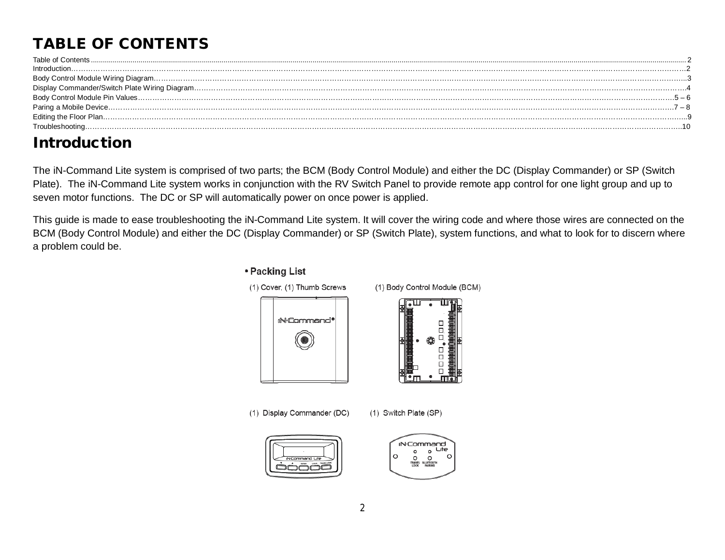# **TABLE OF CONTENTS**

| Troubleshooting. |
|------------------|

## **Introduction**

The iN-Command Lite system is comprised of two parts; the BCM (Body Control Module) and either the DC (Display Commander) or SP (Switch Plate). The iN-Command Lite system works in conjunction with the RV Switch Panel to provide remote app control for one light group and up to seven motor functions. The DC or SP will automatically power on once power is applied.

This guide is made to ease troubleshooting the iN-Command Lite system. It will cover the wiring code and where those wires are connected on the BCM (Body Control Module) and either the DC (Display Commander) or SP (Switch Plate), system functions, and what to look for to discern where a problem could be.

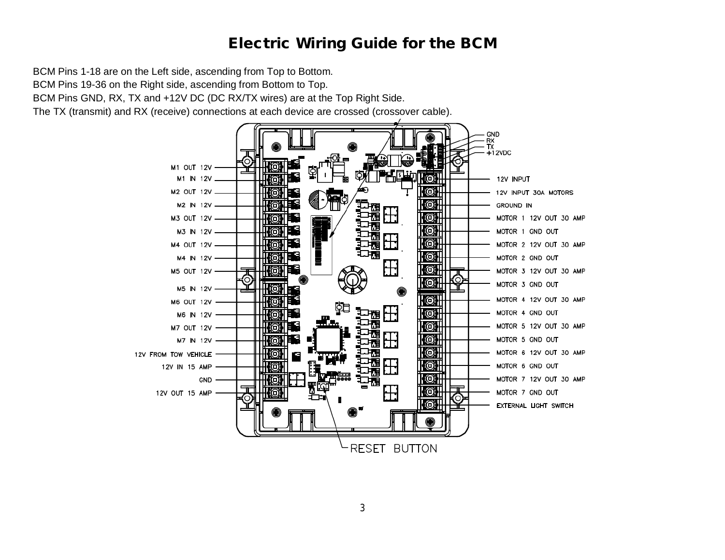#### **Electric Wiring Guide for the BCM**

BCM Pins 1-18 are on the Left side, ascending from Top to Bottom. BCM Pins 19-36 on the Right side, ascending from Bottom to Top. BCM Pins GND, RX, TX and +12V DC (DC RX/TX wires) are at the Top Right Side.

The TX (transmit) and RX (receive) connections at each device are crossed (crossover cable).

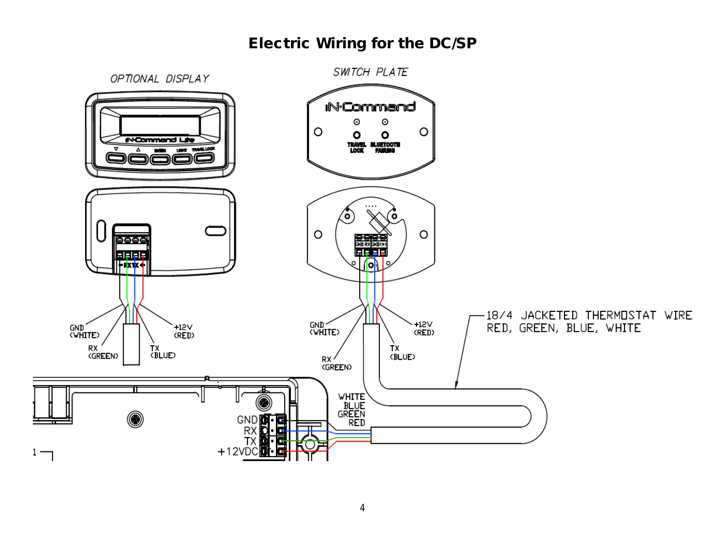#### **Electric Wiring for the DC/SP**

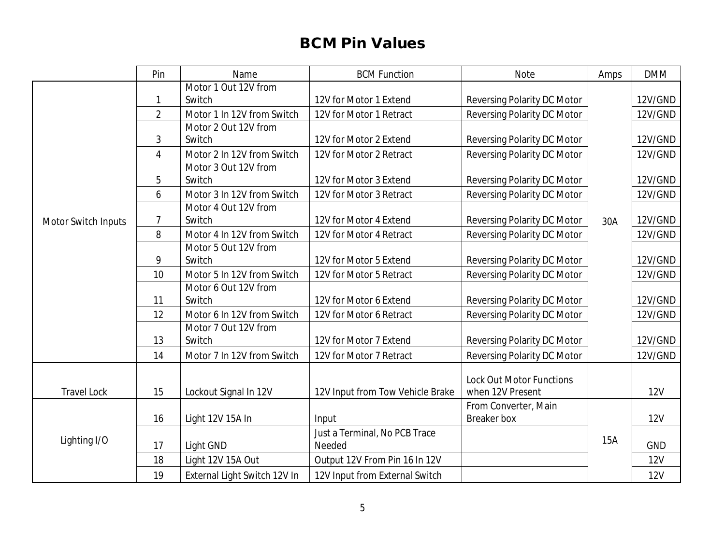## **BCM Pin Values**

|                     | Pin            | Name                         | <b>BCM Function</b>              | <b>Note</b>                     | Amps | <b>DMM</b> |
|---------------------|----------------|------------------------------|----------------------------------|---------------------------------|------|------------|
|                     |                | Motor 1 Out 12V from         |                                  |                                 |      |            |
|                     | 1              | Switch                       | 12V for Motor 1 Extend           | Reversing Polarity DC Motor     |      | 12V/GND    |
|                     | $\overline{2}$ | Motor 1 In 12V from Switch   | 12V for Motor 1 Retract          | Reversing Polarity DC Motor     |      | 12V/GND    |
|                     |                | Motor 2 Out 12V from         |                                  |                                 |      |            |
|                     | 3              | Switch                       | 12V for Motor 2 Extend           | Reversing Polarity DC Motor     |      | 12V/GND    |
|                     | $\overline{4}$ | Motor 2 In 12V from Switch   | 12V for Motor 2 Retract          | Reversing Polarity DC Motor     |      | 12V/GND    |
|                     |                | Motor 3 Out 12V from         |                                  |                                 |      |            |
|                     | 5              | Switch                       | 12V for Motor 3 Extend           | Reversing Polarity DC Motor     |      | 12V/GND    |
|                     | 6              | Motor 3 In 12V from Switch   | 12V for Motor 3 Retract          | Reversing Polarity DC Motor     |      | 12V/GND    |
|                     |                | Motor 4 Out 12V from         |                                  |                                 |      |            |
| Motor Switch Inputs | $\overline{7}$ | Switch                       | 12V for Motor 4 Extend           | Reversing Polarity DC Motor     | 30A  | 12V/GND    |
|                     | 8              | Motor 4 In 12V from Switch   | 12V for Motor 4 Retract          | Reversing Polarity DC Motor     |      | 12V/GND    |
|                     |                | Motor 5 Out 12V from         |                                  |                                 |      |            |
|                     | 9              | Switch                       | 12V for Motor 5 Extend           | Reversing Polarity DC Motor     |      | 12V/GND    |
|                     | 10             | Motor 5 In 12V from Switch   | 12V for Motor 5 Retract          | Reversing Polarity DC Motor     |      | 12V/GND    |
|                     |                | Motor 6 Out 12V from         |                                  |                                 |      |            |
|                     | 11             | Switch                       | 12V for Motor 6 Extend           | Reversing Polarity DC Motor     |      | 12V/GND    |
|                     | 12             | Motor 6 In 12V from Switch   | 12V for Motor 6 Retract          | Reversing Polarity DC Motor     |      | 12V/GND    |
|                     |                | Motor 7 Out 12V from         |                                  |                                 |      |            |
|                     | 13             | Switch                       | 12V for Motor 7 Extend           | Reversing Polarity DC Motor     |      | 12V/GND    |
|                     | 14             | Motor 7 In 12V from Switch   | 12V for Motor 7 Retract          | Reversing Polarity DC Motor     |      | 12V/GND    |
|                     |                |                              |                                  |                                 |      |            |
|                     |                |                              |                                  | <b>Lock Out Motor Functions</b> |      |            |
| <b>Travel Lock</b>  | 15             | Lockout Signal In 12V        | 12V Input from Tow Vehicle Brake | when 12V Present                |      | <b>12V</b> |
|                     |                |                              |                                  | From Converter, Main            |      |            |
|                     | 16             | Light 12V 15A In             | Input                            | Breaker box                     |      | 12V        |
|                     |                |                              | Just a Terminal, No PCB Trace    |                                 | 15A  |            |
| Lighting I/O        | 17             | Light GND                    | Needed                           |                                 |      | <b>GND</b> |
|                     | 18             | Light 12V 15A Out            | Output 12V From Pin 16 In 12V    |                                 |      | 12V        |
|                     | 19             | External Light Switch 12V In | 12V Input from External Switch   |                                 |      | <b>12V</b> |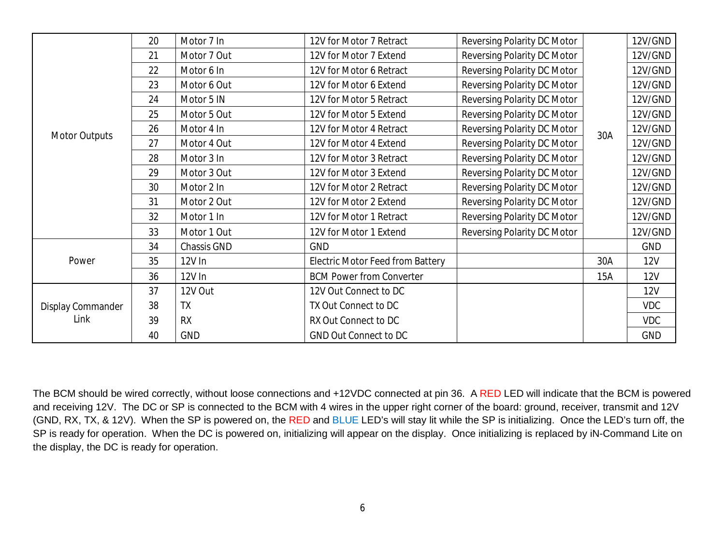|                      | 20 | Motor 7 In  | 12V for Motor 7 Retract          | Reversing Polarity DC Motor |     | 12V/GND    |
|----------------------|----|-------------|----------------------------------|-----------------------------|-----|------------|
|                      | 21 | Motor 7 Out | 12V for Motor 7 Extend           | Reversing Polarity DC Motor |     | 12V/GND    |
|                      | 22 | Motor 6 In  | 12V for Motor 6 Retract          | Reversing Polarity DC Motor |     | 12V/GND    |
|                      | 23 | Motor 6 Out | 12V for Motor 6 Extend           | Reversing Polarity DC Motor |     | 12V/GND    |
|                      | 24 | Motor 5 IN  | 12V for Motor 5 Retract          | Reversing Polarity DC Motor |     | 12V/GND    |
|                      | 25 | Motor 5 Out | 12V for Motor 5 Extend           | Reversing Polarity DC Motor |     | 12V/GND    |
| <b>Motor Outputs</b> | 26 | Motor 4 In  | 12V for Motor 4 Retract          | Reversing Polarity DC Motor | 30A | 12V/GND    |
|                      | 27 | Motor 4 Out | 12V for Motor 4 Extend           | Reversing Polarity DC Motor |     | 12V/GND    |
|                      | 28 | Motor 3 In  | 12V for Motor 3 Retract          | Reversing Polarity DC Motor |     | 12V/GND    |
|                      | 29 | Motor 3 Out | 12V for Motor 3 Extend           | Reversing Polarity DC Motor |     | 12V/GND    |
|                      | 30 | Motor 2 In  | 12V for Motor 2 Retract          | Reversing Polarity DC Motor |     | 12V/GND    |
|                      | 31 | Motor 2 Out | 12V for Motor 2 Extend           | Reversing Polarity DC Motor |     | 12V/GND    |
|                      | 32 | Motor 1 In  | 12V for Motor 1 Retract          | Reversing Polarity DC Motor |     | 12V/GND    |
|                      | 33 | Motor 1 Out | 12V for Motor 1 Extend           | Reversing Polarity DC Motor |     | 12V/GND    |
|                      | 34 | Chassis GND | <b>GND</b>                       |                             |     | <b>GND</b> |
| Power                | 35 | 12V In      | Electric Motor Feed from Battery |                             | 30A | <b>12V</b> |
|                      | 36 | 12V In      | <b>BCM Power from Converter</b>  |                             | 15A | <b>12V</b> |
| Display Commander    | 37 | 12V Out     | 12V Out Connect to DC            |                             |     | <b>12V</b> |
|                      | 38 | <b>TX</b>   | TX Out Connect to DC             |                             |     | <b>VDC</b> |
| Link                 | 39 | <b>RX</b>   | RX Out Connect to DC             |                             |     | <b>VDC</b> |
|                      | 40 | <b>GND</b>  | <b>GND Out Connect to DC</b>     |                             |     | <b>GND</b> |

The BCM should be wired correctly, without loose connections and +12VDC connected at pin 36. A RED LED will indicate that the BCM is powered and receiving 12V. The DC or SP is connected to the BCM with 4 wires in the upper right corner of the board: ground, receiver, transmit and 12V (GND, RX, TX, & 12V). When the SP is powered on, the RED and BLUE LED's will stay lit while the SP is initializing. Once the LED's turn off, the SP is ready for operation. When the DC is powered on, initializing will appear on the display. Once initializing is replaced by iN-Command Lite on the display, the DC is ready for operation.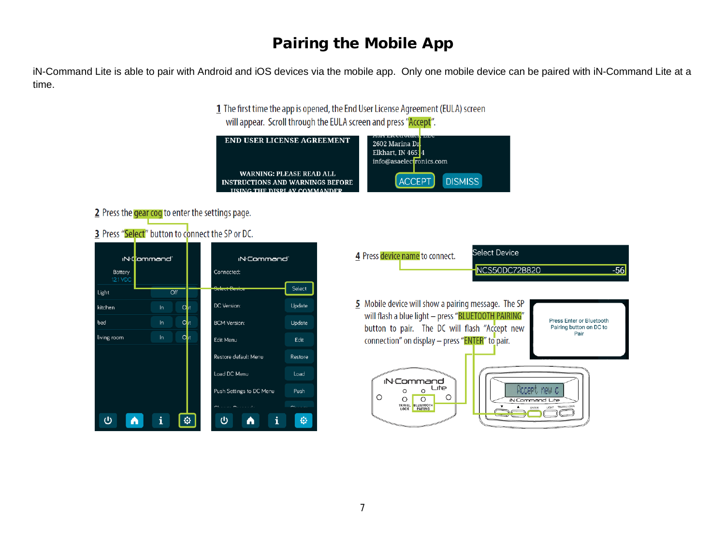#### **Pairing the Mobile App**

iN-Command Lite is able to pair with Android and iOS devices via the mobile app. Only one mobile device can be paired with iN-Command Lite at a time.

> 1 The first time the app is opened, the End User License Agreement (EULA) screen will appear. Scroll through the EULA screen and press "Accept".

| <b>END USER LICENSE AGREEMENT</b>                                                                          | LICCLI OTHER<br>2602 Marina Dr<br>Elkhart, IN 46514<br>info@asaelectronics.com |
|------------------------------------------------------------------------------------------------------------|--------------------------------------------------------------------------------|
| <b>WARNING: PLEASE READ ALL</b><br><b>INSTRUCTIONS AND WARNINGS BEFORE</b><br>HEING THE BIEDI AV COMMANDED | <b>ACCEPT</b><br><b>DISMISS</b>                                                |

2 Press the gear cog to enter the settings page.

3 Press "Select" button to connect the SP or DC.



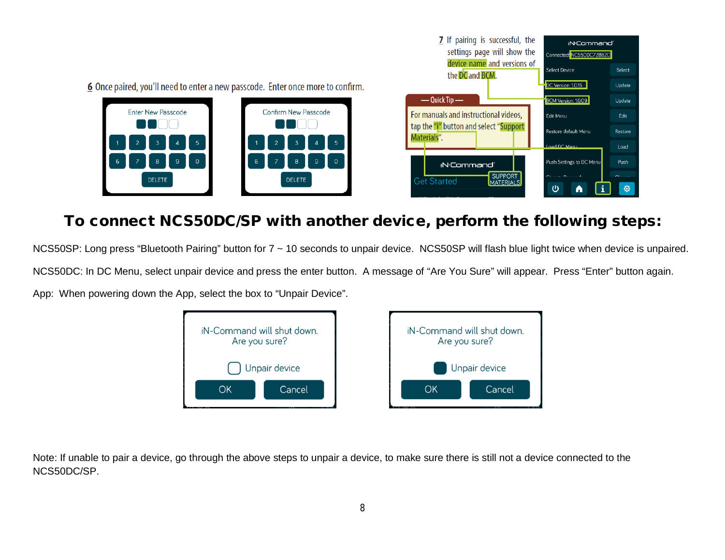6 Once paired, you'll need to enter a new passcode. Enter once more to confirm.





### **To connect NCS50DC/SP with another device, perform the following steps:**

NCS50SP: Long press "Bluetooth Pairing" button for 7 ~ 10 seconds to unpair device. NCS50SP will flash blue light twice when device is unpaired. NCS50DC: In DC Menu, select unpair device and press the enter button. A message of "Are You Sure" will appear. Press "Enter" button again. App: When powering down the App, select the box to "Unpair Device".



Note: If unable to pair a device, go through the above steps to unpair a device, to make sure there is still not a device connected to the NCS50DC/SP.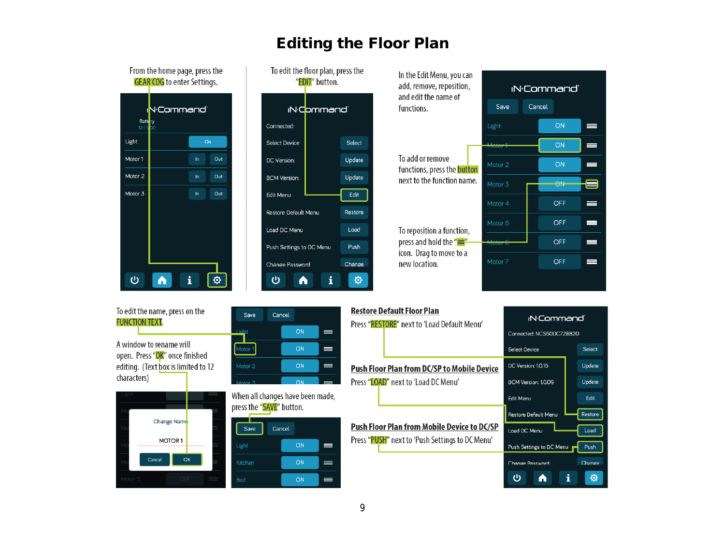#### **Editing the Floor Plan**



#### To edit the name, press on the **FUNCTION TEXT.**

A window to rename will open. Press "OK" once finished editing. (Text box is limited to 12 characters)



| Save               | Cancel |    |   |
|--------------------|--------|----|---|
| Light              |        | ON | ᆖ |
| Motor 1            |        | ON | ═ |
| Motor <sub>2</sub> |        | ON |   |
| Motor <sub>3</sub> |        | ON |   |

When all changes have been made, press the "SAVE" button.

| Save       | Cancel |    |     |
|------------|--------|----|-----|
| Light      |        | ON | ═   |
| Kitchen    |        | ON | $=$ |
| <b>Bed</b> |        | ON |     |

#### **Restore Default Floor Plan**

Press "RESTORE" next to 'Load Default Menu' Push Floor Plan from DC/SP to Mobile Device Press "LOAD" next to 'Load DC Menu'

**Push Floor Plan from Mobile Device to DC/SP** 

Press "PUSH" next to 'Push Settings to DC Menu'